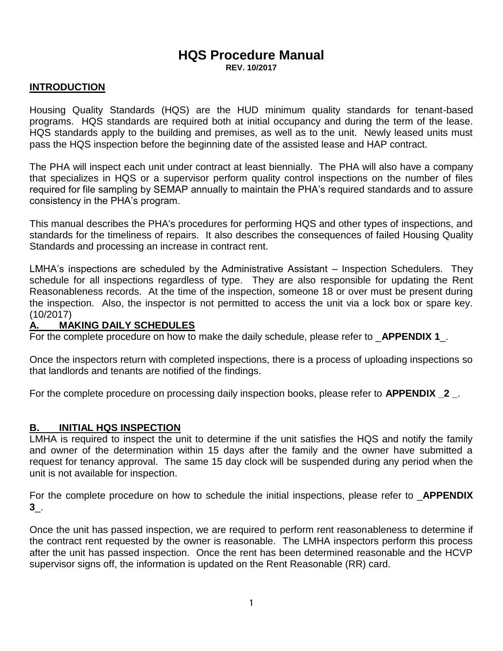# **HQS Procedure Manual**

**REV. 10/2017**

# **INTRODUCTION**

Housing Quality Standards (HQS) are the HUD minimum quality standards for tenant-based programs. HQS standards are required both at initial occupancy and during the term of the lease. HQS standards apply to the building and premises, as well as to the unit. Newly leased units must pass the HQS inspection before the beginning date of the assisted lease and HAP contract.

The PHA will inspect each unit under contract at least biennially. The PHA will also have a company that specializes in HQS or a supervisor perform quality control inspections on the number of files required for file sampling by SEMAP annually to maintain the PHA's required standards and to assure consistency in the PHA's program.

This manual describes the PHA's procedures for performing HQS and other types of inspections, and standards for the timeliness of repairs. It also describes the consequences of failed Housing Quality Standards and processing an increase in contract rent.

LMHA's inspections are scheduled by the Administrative Assistant – Inspection Schedulers. They schedule for all inspections regardless of type. They are also responsible for updating the Rent Reasonableness records. At the time of the inspection, someone 18 or over must be present during the inspection. Also, the inspector is not permitted to access the unit via a lock box or spare key. (10/2017)

# **A. MAKING DAILY SCHEDULES**

For the complete procedure on how to make the daily schedule, please refer to \_**APPENDIX 1**\_.

Once the inspectors return with completed inspections, there is a process of uploading inspections so that landlords and tenants are notified of the findings.

For the complete procedure on processing daily inspection books, please refer to **APPENDIX \_2 \_**.

# **B. INITIAL HQS INSPECTION**

LMHA is required to inspect the unit to determine if the unit satisfies the HQS and notify the family and owner of the determination within 15 days after the family and the owner have submitted a request for tenancy approval. The same 15 day clock will be suspended during any period when the unit is not available for inspection.

For the complete procedure on how to schedule the initial inspections, please refer to \_**APPENDIX 3**\_.

Once the unit has passed inspection, we are required to perform rent reasonableness to determine if the contract rent requested by the owner is reasonable. The LMHA inspectors perform this process after the unit has passed inspection. Once the rent has been determined reasonable and the HCVP supervisor signs off, the information is updated on the Rent Reasonable (RR) card.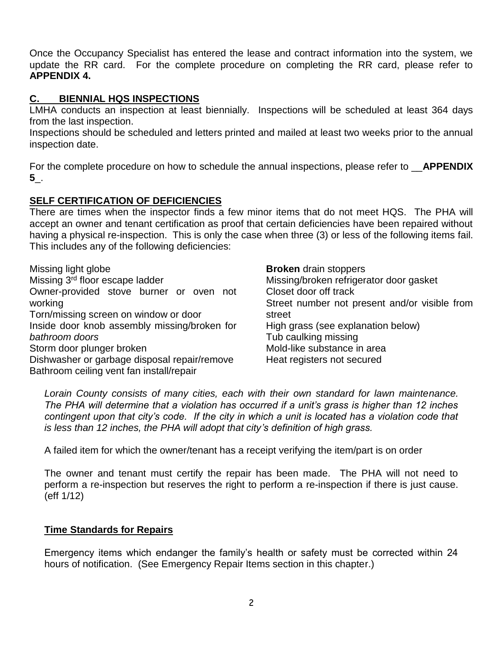Once the Occupancy Specialist has entered the lease and contract information into the system, we update the RR card. For the complete procedure on completing the RR card, please refer to **APPENDIX 4.**

# **C. BIENNIAL HQS INSPECTIONS**

LMHA conducts an inspection at least biennially. Inspections will be scheduled at least 364 days from the last inspection.

Inspections should be scheduled and letters printed and mailed at least two weeks prior to the annual inspection date.

For the complete procedure on how to schedule the annual inspections, please refer to \_\_**APPENDIX 5**\_.

# **SELF CERTIFICATION OF DEFICIENCIES**

There are times when the inspector finds a few minor items that do not meet HQS. The PHA will accept an owner and tenant certification as proof that certain deficiencies have been repaired without having a physical re-inspection. This is only the case when three (3) or less of the following items fail. This includes any of the following deficiencies:

Missing light globe Missing 3rd floor escape ladder Owner-provided stove burner or oven not working Torn/missing screen on window or door Inside door knob assembly missing/broken for *bathroom doors* Storm door plunger broken Dishwasher or garbage disposal repair/remove Bathroom ceiling vent fan install/repair

**Broken** drain stoppers Missing/broken refrigerator door gasket Closet door off track Street number not present and/or visible from street High grass (see explanation below) Tub caulking missing Mold-like substance in area Heat registers not secured

*Lorain County consists of many cities, each with their own standard for lawn maintenance. The PHA will determine that a violation has occurred if a unit's grass is higher than 12 inches*  contingent upon that city's code. If the city in which a unit is located has a violation code that *is less than 12 inches, the PHA will adopt that city's definition of high grass.*

A failed item for which the owner/tenant has a receipt verifying the item/part is on order

The owner and tenant must certify the repair has been made. The PHA will not need to perform a re-inspection but reserves the right to perform a re-inspection if there is just cause. (eff 1/12)

# **Time Standards for Repairs**

Emergency items which endanger the family's health or safety must be corrected within 24 hours of notification. (See Emergency Repair Items section in this chapter.)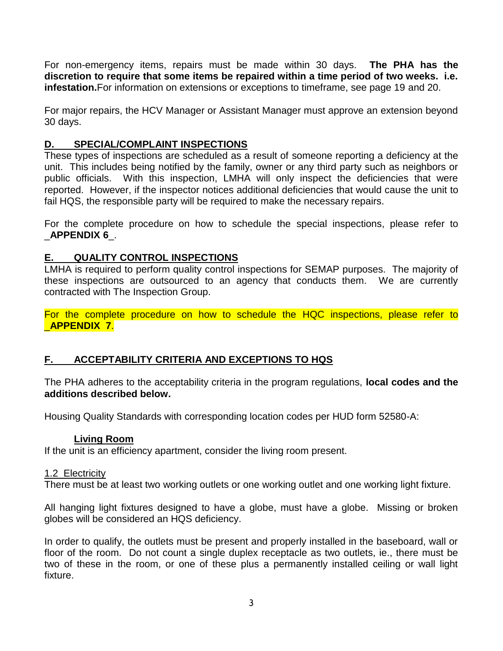For non-emergency items, repairs must be made within 30 days. **The PHA has the discretion to require that some items be repaired within a time period of two weeks. i.e. infestation.**For information on extensions or exceptions to timeframe, see page 19 and 20.

For major repairs, the HCV Manager or Assistant Manager must approve an extension beyond 30 days.

# **D. SPECIAL/COMPLAINT INSPECTIONS**

These types of inspections are scheduled as a result of someone reporting a deficiency at the unit. This includes being notified by the family, owner or any third party such as neighbors or public officials. With this inspection, LMHA will only inspect the deficiencies that were reported. However, if the inspector notices additional deficiencies that would cause the unit to fail HQS, the responsible party will be required to make the necessary repairs.

For the complete procedure on how to schedule the special inspections, please refer to \_**APPENDIX 6**\_.

# **E. QUALITY CONTROL INSPECTIONS**

LMHA is required to perform quality control inspections for SEMAP purposes. The majority of these inspections are outsourced to an agency that conducts them. We are currently contracted with The Inspection Group.

For the complete procedure on how to schedule the HQC inspections, please refer to \_**APPENDIX 7**.

# **F. ACCEPTABILITY CRITERIA AND EXCEPTIONS TO HQS**

The PHA adheres to the acceptability criteria in the program regulations, **local codes and the additions described below.** 

Housing Quality Standards with corresponding location codes per HUD form 52580-A:

#### **Living Room**

If the unit is an efficiency apartment, consider the living room present.

#### 1.2 Electricity

There must be at least two working outlets or one working outlet and one working light fixture.

All hanging light fixtures designed to have a globe, must have a globe. Missing or broken globes will be considered an HQS deficiency.

In order to qualify, the outlets must be present and properly installed in the baseboard, wall or floor of the room. Do not count a single duplex receptacle as two outlets, ie., there must be two of these in the room, or one of these plus a permanently installed ceiling or wall light fixture.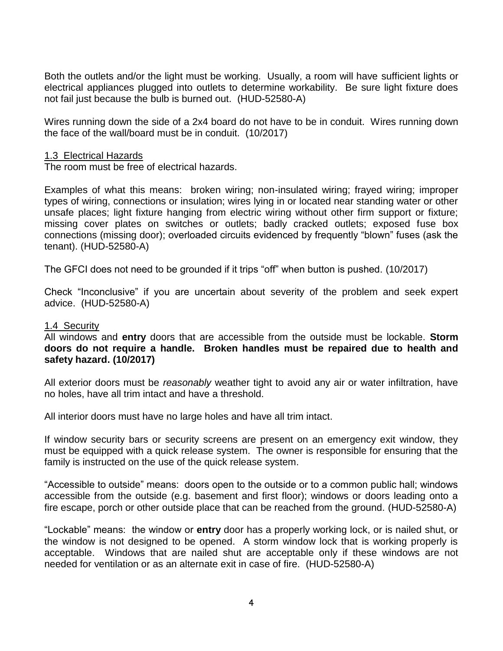Both the outlets and/or the light must be working. Usually, a room will have sufficient lights or electrical appliances plugged into outlets to determine workability. Be sure light fixture does not fail just because the bulb is burned out. (HUD-52580-A)

Wires running down the side of a 2x4 board do not have to be in conduit. Wires running down the face of the wall/board must be in conduit. (10/2017)

#### 1.3 Electrical Hazards

The room must be free of electrical hazards.

Examples of what this means: broken wiring; non-insulated wiring; frayed wiring; improper types of wiring, connections or insulation; wires lying in or located near standing water or other unsafe places; light fixture hanging from electric wiring without other firm support or fixture; missing cover plates on switches or outlets; badly cracked outlets; exposed fuse box connections (missing door); overloaded circuits evidenced by frequently "blown" fuses (ask the tenant). (HUD-52580-A)

The GFCI does not need to be grounded if it trips "off" when button is pushed. (10/2017)

Check "Inconclusive" if you are uncertain about severity of the problem and seek expert advice. (HUD-52580-A)

#### 1.4 Security

All windows and **entry** doors that are accessible from the outside must be lockable. **Storm doors do not require a handle. Broken handles must be repaired due to health and safety hazard. (10/2017)**

All exterior doors must be *reasonably* weather tight to avoid any air or water infiltration, have no holes, have all trim intact and have a threshold.

All interior doors must have no large holes and have all trim intact.

If window security bars or security screens are present on an emergency exit window, they must be equipped with a quick release system. The owner is responsible for ensuring that the family is instructed on the use of the quick release system.

"Accessible to outside" means: doors open to the outside or to a common public hall; windows accessible from the outside (e.g. basement and first floor); windows or doors leading onto a fire escape, porch or other outside place that can be reached from the ground. (HUD-52580-A)

"Lockable" means: the window or **entry** door has a properly working lock, or is nailed shut, or the window is not designed to be opened. A storm window lock that is working properly is acceptable. Windows that are nailed shut are acceptable only if these windows are not needed for ventilation or as an alternate exit in case of fire. (HUD-52580-A)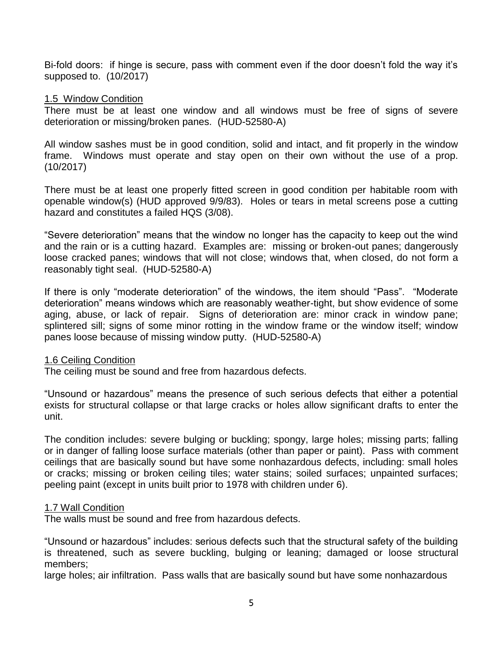Bi-fold doors: if hinge is secure, pass with comment even if the door doesn't fold the way it's supposed to. (10/2017)

#### 1.5 Window Condition

There must be at least one window and all windows must be free of signs of severe deterioration or missing/broken panes. (HUD-52580-A)

All window sashes must be in good condition, solid and intact, and fit properly in the window frame. Windows must operate and stay open on their own without the use of a prop. (10/2017)

There must be at least one properly fitted screen in good condition per habitable room with openable window(s) (HUD approved 9/9/83). Holes or tears in metal screens pose a cutting hazard and constitutes a failed HQS (3/08).

"Severe deterioration" means that the window no longer has the capacity to keep out the wind and the rain or is a cutting hazard. Examples are: missing or broken-out panes; dangerously loose cracked panes; windows that will not close; windows that, when closed, do not form a reasonably tight seal. (HUD-52580-A)

If there is only "moderate deterioration" of the windows, the item should "Pass". "Moderate deterioration" means windows which are reasonably weather-tight, but show evidence of some aging, abuse, or lack of repair. Signs of deterioration are: minor crack in window pane; splintered sill; signs of some minor rotting in the window frame or the window itself; window panes loose because of missing window putty. (HUD-52580-A)

#### 1.6 Ceiling Condition

The ceiling must be sound and free from hazardous defects.

"Unsound or hazardous" means the presence of such serious defects that either a potential exists for structural collapse or that large cracks or holes allow significant drafts to enter the unit.

The condition includes: severe bulging or buckling; spongy, large holes; missing parts; falling or in danger of falling loose surface materials (other than paper or paint). Pass with comment ceilings that are basically sound but have some nonhazardous defects, including: small holes or cracks; missing or broken ceiling tiles; water stains; soiled surfaces; unpainted surfaces; peeling paint (except in units built prior to 1978 with children under 6).

#### 1.7 Wall Condition

The walls must be sound and free from hazardous defects.

"Unsound or hazardous" includes: serious defects such that the structural safety of the building is threatened, such as severe buckling, bulging or leaning; damaged or loose structural members;

large holes; air infiltration. Pass walls that are basically sound but have some nonhazardous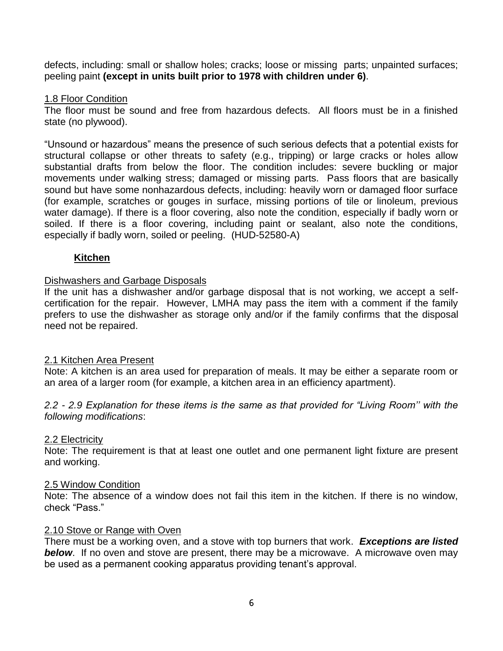defects, including: small or shallow holes; cracks; loose or missing parts; unpainted surfaces; peeling paint **(except in units built prior to 1978 with children under 6)**.

## 1.8 Floor Condition

The floor must be sound and free from hazardous defects. All floors must be in a finished state (no plywood).

"Unsound or hazardous" means the presence of such serious defects that a potential exists for structural collapse or other threats to safety (e.g., tripping) or large cracks or holes allow substantial drafts from below the floor. The condition includes: severe buckling or major movements under walking stress; damaged or missing parts. Pass floors that are basically sound but have some nonhazardous defects, including: heavily worn or damaged floor surface (for example, scratches or gouges in surface, missing portions of tile or linoleum, previous water damage). If there is a floor covering, also note the condition, especially if badly worn or soiled. If there is a floor covering, including paint or sealant, also note the conditions, especially if badly worn, soiled or peeling. (HUD-52580-A)

# **Kitchen**

## Dishwashers and Garbage Disposals

If the unit has a dishwasher and/or garbage disposal that is not working, we accept a selfcertification for the repair. However, LMHA may pass the item with a comment if the family prefers to use the dishwasher as storage only and/or if the family confirms that the disposal need not be repaired.

#### 2.1 Kitchen Area Present

Note: A kitchen is an area used for preparation of meals. It may be either a separate room or an area of a larger room (for example, a kitchen area in an efficiency apartment).

*2.2 - 2.9 Explanation for these items is the same as that provided for "Living Room'' with the following modifications*:

#### 2.2 Electricity

Note: The requirement is that at least one outlet and one permanent light fixture are present and working.

#### 2.5 Window Condition

Note: The absence of a window does not fail this item in the kitchen. If there is no window, check "Pass."

#### 2.10 Stove or Range with Oven

There must be a working oven, and a stove with top burners that work. *Exceptions are listed*  **below**. If no oven and stove are present, there may be a microwave. A microwave oven may be used as a permanent cooking apparatus providing tenant's approval.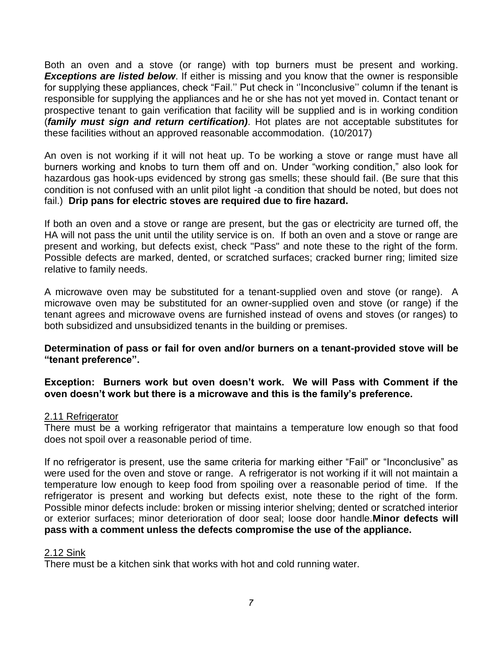Both an oven and a stove (or range) with top burners must be present and working. **Exceptions are listed below**. If either is missing and you know that the owner is responsible for supplying these appliances, check "Fail.'' Put check in ''Inconclusive'' column if the tenant is responsible for supplying the appliances and he or she has not yet moved in. Contact tenant or prospective tenant to gain verification that facility will be supplied and is in working condition (*family must sign and return certification)*. Hot plates are not acceptable substitutes for these facilities without an approved reasonable accommodation. (10/2017)

An oven is not working if it will not heat up. To be working a stove or range must have all burners working and knobs to turn them off and on. Under "working condition," also look for hazardous gas hook-ups evidenced by strong gas smells; these should fail. (Be sure that this condition is not confused with an unlit pilot light -a condition that should be noted, but does not fail.) **Drip pans for electric stoves are required due to fire hazard.**

If both an oven and a stove or range are present, but the gas or electricity are turned off, the HA will not pass the unit until the utility service is on. If both an oven and a stove or range are present and working, but defects exist, check "Pass" and note these to the right of the form. Possible defects are marked, dented, or scratched surfaces; cracked burner ring; limited size relative to family needs.

A microwave oven may be substituted for a tenant-supplied oven and stove (or range). A microwave oven may be substituted for an owner-supplied oven and stove (or range) if the tenant agrees and microwave ovens are furnished instead of ovens and stoves (or ranges) to both subsidized and unsubsidized tenants in the building or premises.

## **Determination of pass or fail for oven and/or burners on a tenant-provided stove will be "tenant preference".**

# **Exception: Burners work but oven doesn't work. We will Pass with Comment if the oven doesn't work but there is a microwave and this is the family's preference.**

# 2.11 Refrigerator

There must be a working refrigerator that maintains a temperature low enough so that food does not spoil over a reasonable period of time.

If no refrigerator is present, use the same criteria for marking either "Fail" or "Inconclusive" as were used for the oven and stove or range. A refrigerator is not working if it will not maintain a temperature low enough to keep food from spoiling over a reasonable period of time. If the refrigerator is present and working but defects exist, note these to the right of the form. Possible minor defects include: broken or missing interior shelving; dented or scratched interior or exterior surfaces; minor deterioration of door seal; loose door handle.**Minor defects will pass with a comment unless the defects compromise the use of the appliance.**

#### 2.12 Sink

There must be a kitchen sink that works with hot and cold running water.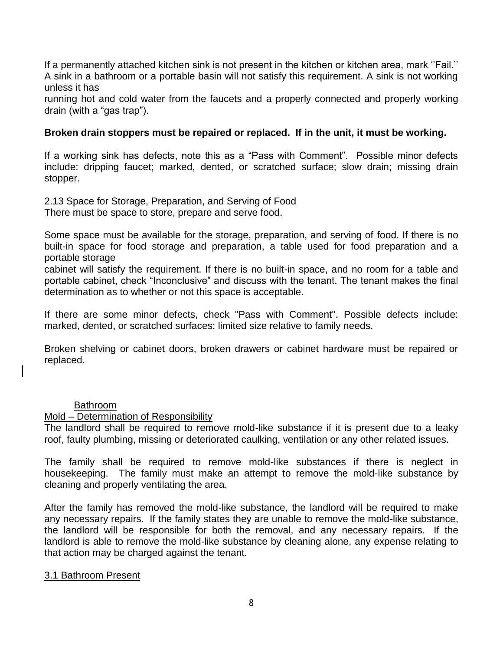If a permanently attached kitchen sink is not present in the kitchen or kitchen area, mark ''Fail.'' A sink in a bathroom or a portable basin will not satisfy this requirement. A sink is not working unless it has

running hot and cold water from the faucets and a properly connected and properly working drain (with a "gas trap").

# **Broken drain stoppers must be repaired or replaced. If in the unit, it must be working.**

If a working sink has defects, note this as a "Pass with Comment". Possible minor defects include: dripping faucet; marked, dented, or scratched surface; slow drain; missing drain stopper.

2.13 Space for Storage, Preparation, and Serving of Food

There must be space to store, prepare and serve food.

Some space must be available for the storage, preparation, and serving of food. If there is no built-in space for food storage and preparation, a table used for food preparation and a portable storage

cabinet will satisfy the requirement. If there is no built-in space, and no room for a table and portable cabinet, check "Inconclusive" and discuss with the tenant. The tenant makes the final determination as to whether or not this space is acceptable.

If there are some minor defects, check "Pass with Comment". Possible defects include: marked, dented, or scratched surfaces; limited size relative to family needs.

Broken shelving or cabinet doors, broken drawers or cabinet hardware must be repaired or replaced.

#### Bathroom

#### Mold – Determination of Responsibility

The landlord shall be required to remove mold-like substance if it is present due to a leaky roof, faulty plumbing, missing or deteriorated caulking, ventilation or any other related issues.

The family shall be required to remove mold-like substances if there is neglect in housekeeping. The family must make an attempt to remove the mold-like substance by cleaning and properly ventilating the area.

After the family has removed the mold-like substance, the landlord will be required to make any necessary repairs. If the family states they are unable to remove the mold-like substance, the landlord will be responsible for both the removal, and any necessary repairs. If the landlord is able to remove the mold-like substance by cleaning alone, any expense relating to that action may be charged against the tenant.

#### 3.1 Bathroom Present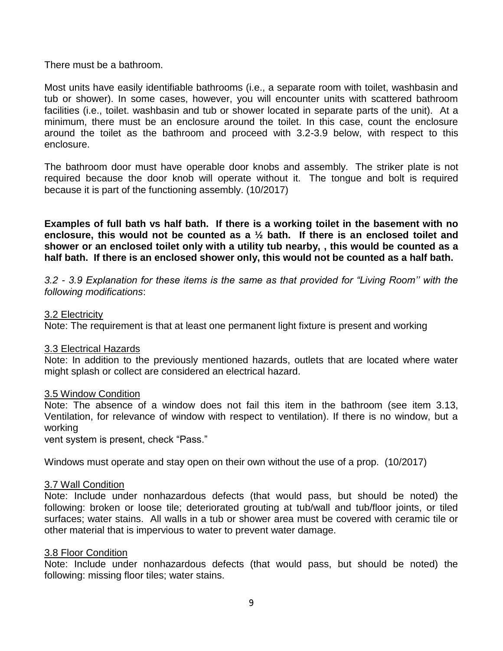There must be a bathroom.

Most units have easily identifiable bathrooms (i.e., a separate room with toilet, washbasin and tub or shower). In some cases, however, you will encounter units with scattered bathroom facilities (i.e., toilet. washbasin and tub or shower located in separate parts of the unit). At a minimum, there must be an enclosure around the toilet. In this case, count the enclosure around the toilet as the bathroom and proceed with 3.2-3.9 below, with respect to this enclosure.

The bathroom door must have operable door knobs and assembly. The striker plate is not required because the door knob will operate without it. The tongue and bolt is required because it is part of the functioning assembly. (10/2017)

**Examples of full bath vs half bath. If there is a working toilet in the basement with no enclosure, this would not be counted as a ½ bath. If there is an enclosed toilet and shower or an enclosed toilet only with a utility tub nearby, , this would be counted as a half bath. If there is an enclosed shower only, this would not be counted as a half bath.** 

*3.2 - 3.9 Explanation for these items is the same as that provided for "Living Room'' with the following modifications*:

#### 3.2 Electricity

Note: The requirement is that at least one permanent light fixture is present and working

#### 3.3 Electrical Hazards

Note: In addition to the previously mentioned hazards, outlets that are located where water might splash or collect are considered an electrical hazard.

#### 3.5 Window Condition

Note: The absence of a window does not fail this item in the bathroom (see item 3.13, Ventilation, for relevance of window with respect to ventilation). If there is no window, but a working

vent system is present, check "Pass."

Windows must operate and stay open on their own without the use of a prop. (10/2017)

#### 3.7 Wall Condition

Note: Include under nonhazardous defects (that would pass, but should be noted) the following: broken or loose tile; deteriorated grouting at tub/wall and tub/floor joints, or tiled surfaces; water stains. All walls in a tub or shower area must be covered with ceramic tile or other material that is impervious to water to prevent water damage.

#### 3.8 Floor Condition

Note: Include under nonhazardous defects (that would pass, but should be noted) the following: missing floor tiles; water stains.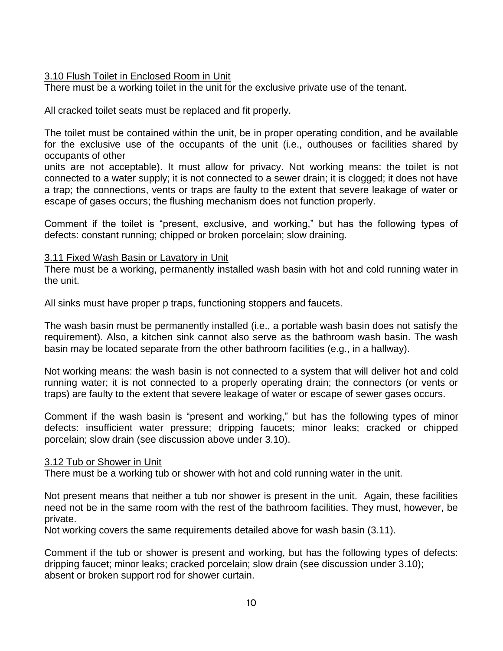# 3.10 Flush Toilet in Enclosed Room in Unit

There must be a working toilet in the unit for the exclusive private use of the tenant.

All cracked toilet seats must be replaced and fit properly.

The toilet must be contained within the unit, be in proper operating condition, and be available for the exclusive use of the occupants of the unit (i.e., outhouses or facilities shared by occupants of other

units are not acceptable). It must allow for privacy. Not working means: the toilet is not connected to a water supply; it is not connected to a sewer drain; it is clogged; it does not have a trap; the connections, vents or traps are faulty to the extent that severe leakage of water or escape of gases occurs; the flushing mechanism does not function properly.

Comment if the toilet is "present, exclusive, and working," but has the following types of defects: constant running; chipped or broken porcelain; slow draining.

# 3.11 Fixed Wash Basin or Lavatory in Unit

There must be a working, permanently installed wash basin with hot and cold running water in the unit.

All sinks must have proper p traps, functioning stoppers and faucets.

The wash basin must be permanently installed (i.e., a portable wash basin does not satisfy the requirement). Also, a kitchen sink cannot also serve as the bathroom wash basin. The wash basin may be located separate from the other bathroom facilities (e.g., in a hallway).

Not working means: the wash basin is not connected to a system that will deliver hot and cold running water; it is not connected to a properly operating drain; the connectors (or vents or traps) are faulty to the extent that severe leakage of water or escape of sewer gases occurs.

Comment if the wash basin is "present and working," but has the following types of minor defects: insufficient water pressure; dripping faucets; minor leaks; cracked or chipped porcelain; slow drain (see discussion above under 3.10).

# 3.12 Tub or Shower in Unit

There must be a working tub or shower with hot and cold running water in the unit.

Not present means that neither a tub nor shower is present in the unit. Again, these facilities need not be in the same room with the rest of the bathroom facilities. They must, however, be private.

Not working covers the same requirements detailed above for wash basin (3.11).

Comment if the tub or shower is present and working, but has the following types of defects: dripping faucet; minor leaks; cracked porcelain; slow drain (see discussion under 3.10); absent or broken support rod for shower curtain.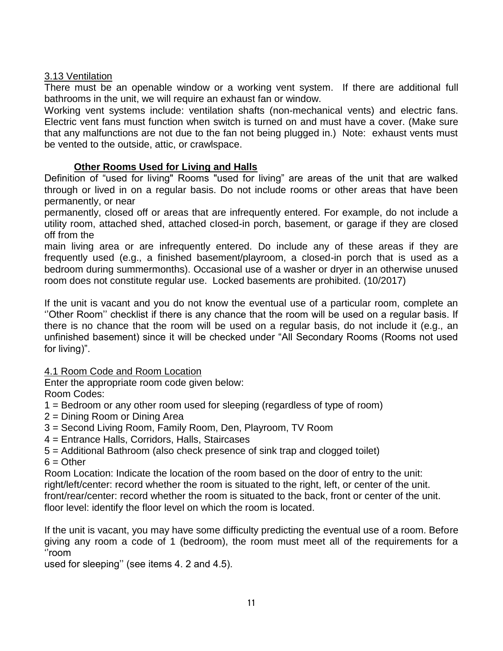# 3.13 Ventilation

There must be an openable window or a working vent system. If there are additional full bathrooms in the unit, we will require an exhaust fan or window.

Working vent systems include: ventilation shafts (non-mechanical vents) and electric fans. Electric vent fans must function when switch is turned on and must have a cover. (Make sure that any malfunctions are not due to the fan not being plugged in.) Note: exhaust vents must be vented to the outside, attic, or crawlspace.

# **Other Rooms Used for Living and Halls**

Definition of "used for living" Rooms "used for living" are areas of the unit that are walked through or lived in on a regular basis. Do not include rooms or other areas that have been permanently, or near

permanently, closed off or areas that are infrequently entered. For example, do not include a utility room, attached shed, attached cIosed-in porch, basement, or garage if they are closed off from the

main living area or are infrequently entered. Do include any of these areas if they are frequently used (e.g., a finished basement/playroom, a closed-in porch that is used as a bedroom during summermonths). Occasional use of a washer or dryer in an otherwise unused room does not constitute regular use. Locked basements are prohibited. (10/2017)

If the unit is vacant and you do not know the eventual use of a particular room, complete an ''Other Room'' checklist if there is any chance that the room will be used on a regular basis. If there is no chance that the room will be used on a regular basis, do not include it (e.g., an unfinished basement) since it will be checked under "All Secondary Rooms (Rooms not used for living)".

4.1 Room Code and Room Location

Enter the appropriate room code given below:

Room Codes:

- 1 = Bedroom or any other room used for sleeping (regardless of type of room)
- 2 = Dining Room or Dining Area
- 3 = Second Living Room, Family Room, Den, Playroom, TV Room
- 4 = Entrance Halls, Corridors, Halls, Staircases
- 5 = Additional Bathroom (also check presence of sink trap and clogged toilet)  $6 =$ Other

Room Location: Indicate the location of the room based on the door of entry to the unit: right/left/center: record whether the room is situated to the right, left, or center of the unit. front/rear/center: record whether the room is situated to the back, front or center of the unit. floor level: identify the floor level on which the room is located.

If the unit is vacant, you may have some difficulty predicting the eventual use of a room. Before giving any room a code of 1 (bedroom), the room must meet all of the requirements for a ''room

used for sleeping'' (see items 4. 2 and 4.5).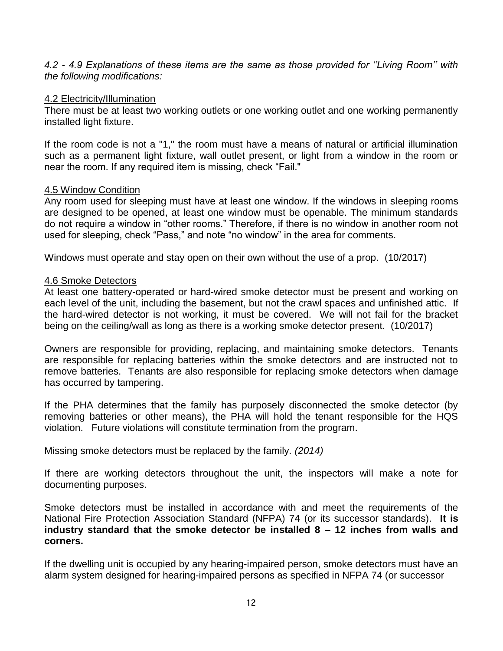*4.2 - 4.9 Explanations of these items are the same as those provided for ''Living Room'' with the following modifications:*

#### 4.2 Electricity/Illumination

There must be at least two working outlets or one working outlet and one working permanently installed light fixture.

If the room code is not a "1," the room must have a means of natural or artificial illumination such as a permanent light fixture, wall outlet present, or light from a window in the room or near the room. If any required item is missing, check "Fail."

## 4.5 Window Condition

Any room used for sleeping must have at least one window. If the windows in sleeping rooms are designed to be opened, at least one window must be openable. The minimum standards do not require a window in "other rooms." Therefore, if there is no window in another room not used for sleeping, check "Pass," and note "no window" in the area for comments.

Windows must operate and stay open on their own without the use of a prop. (10/2017)

## 4.6 Smoke Detectors

At least one battery-operated or hard-wired smoke detector must be present and working on each level of the unit, including the basement, but not the crawl spaces and unfinished attic. If the hard-wired detector is not working, it must be covered. We will not fail for the bracket being on the ceiling/wall as long as there is a working smoke detector present. (10/2017)

Owners are responsible for providing, replacing, and maintaining smoke detectors. Tenants are responsible for replacing batteries within the smoke detectors and are instructed not to remove batteries. Tenants are also responsible for replacing smoke detectors when damage has occurred by tampering.

If the PHA determines that the family has purposely disconnected the smoke detector (by removing batteries or other means), the PHA will hold the tenant responsible for the HQS violation. Future violations will constitute termination from the program.

Missing smoke detectors must be replaced by the family. *(2014)*

If there are working detectors throughout the unit, the inspectors will make a note for documenting purposes.

Smoke detectors must be installed in accordance with and meet the requirements of the National Fire Protection Association Standard (NFPA) 74 (or its successor standards). **It is industry standard that the smoke detector be installed 8 – 12 inches from walls and corners.**

If the dwelling unit is occupied by any hearing-impaired person, smoke detectors must have an alarm system designed for hearing-impaired persons as specified in NFPA 74 (or successor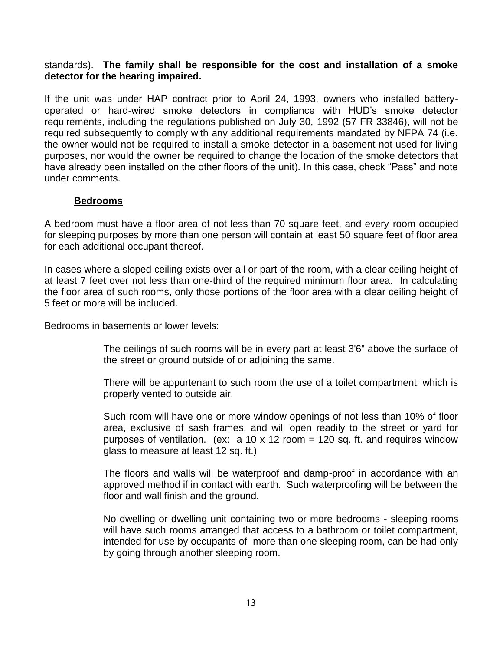## standards). **The family shall be responsible for the cost and installation of a smoke detector for the hearing impaired.**

If the unit was under HAP contract prior to April 24, 1993, owners who installed batteryoperated or hard-wired smoke detectors in compliance with HUD's smoke detector requirements, including the regulations published on July 30, 1992 (57 FR 33846), will not be required subsequently to comply with any additional requirements mandated by NFPA 74 (i.e. the owner would not be required to install a smoke detector in a basement not used for living purposes, nor would the owner be required to change the location of the smoke detectors that have already been installed on the other floors of the unit). In this case, check "Pass" and note under comments.

# **Bedrooms**

A bedroom must have a floor area of not less than 70 square feet, and every room occupied for sleeping purposes by more than one person will contain at least 50 square feet of floor area for each additional occupant thereof.

In cases where a sloped ceiling exists over all or part of the room, with a clear ceiling height of at least 7 feet over not less than one-third of the required minimum floor area. In calculating the floor area of such rooms, only those portions of the floor area with a clear ceiling height of 5 feet or more will be included.

Bedrooms in basements or lower levels:

The ceilings of such rooms will be in every part at least 3'6" above the surface of the street or ground outside of or adjoining the same.

There will be appurtenant to such room the use of a toilet compartment, which is properly vented to outside air.

Such room will have one or more window openings of not less than 10% of floor area, exclusive of sash frames, and will open readily to the street or yard for purposes of ventilation. (ex:  $a$  10 x 12 room = 120 sq. ft. and requires window glass to measure at least 12 sq. ft.)

The floors and walls will be waterproof and damp-proof in accordance with an approved method if in contact with earth. Such waterproofing will be between the floor and wall finish and the ground.

No dwelling or dwelling unit containing two or more bedrooms - sleeping rooms will have such rooms arranged that access to a bathroom or toilet compartment, intended for use by occupants of more than one sleeping room, can be had only by going through another sleeping room.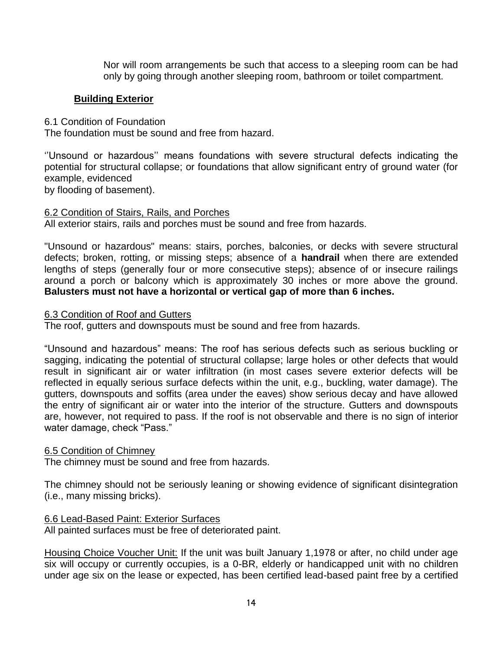Nor will room arrangements be such that access to a sleeping room can be had only by going through another sleeping room, bathroom or toilet compartment.

# **Building Exterior**

6.1 Condition of Foundation

The foundation must be sound and free from hazard.

''Unsound or hazardous'' means foundations with severe structural defects indicating the potential for structural collapse; or foundations that allow significant entry of ground water (for example, evidenced

by flooding of basement).

# 6.2 Condition of Stairs, Rails, and Porches

All exterior stairs, rails and porches must be sound and free from hazards.

"Unsound or hazardous" means: stairs, porches, balconies, or decks with severe structural defects; broken, rotting, or missing steps; absence of a **handrail** when there are extended lengths of steps (generally four or more consecutive steps); absence of or insecure railings around a porch or balcony which is approximately 30 inches or more above the ground. **Balusters must not have a horizontal or vertical gap of more than 6 inches.**

# 6.3 Condition of Roof and Gutters

The roof, gutters and downspouts must be sound and free from hazards.

"Unsound and hazardous" means: The roof has serious defects such as serious buckling or sagging, indicating the potential of structural collapse; large holes or other defects that would result in significant air or water infiltration (in most cases severe exterior defects will be reflected in equally serious surface defects within the unit, e.g., buckling, water damage). The gutters, downspouts and soffits (area under the eaves) show serious decay and have allowed the entry of significant air or water into the interior of the structure. Gutters and downspouts are, however, not required to pass. If the roof is not observable and there is no sign of interior water damage, check "Pass."

# 6.5 Condition of Chimney

The chimney must be sound and free from hazards.

The chimney should not be seriously leaning or showing evidence of significant disintegration (i.e., many missing bricks).

# 6.6 Lead-Based Paint: Exterior Surfaces

All painted surfaces must be free of deteriorated paint.

Housing Choice Voucher Unit: If the unit was built January 1,1978 or after, no child under age six will occupy or currently occupies, is a 0-BR, elderly or handicapped unit with no children under age six on the lease or expected, has been certified lead-based paint free by a certified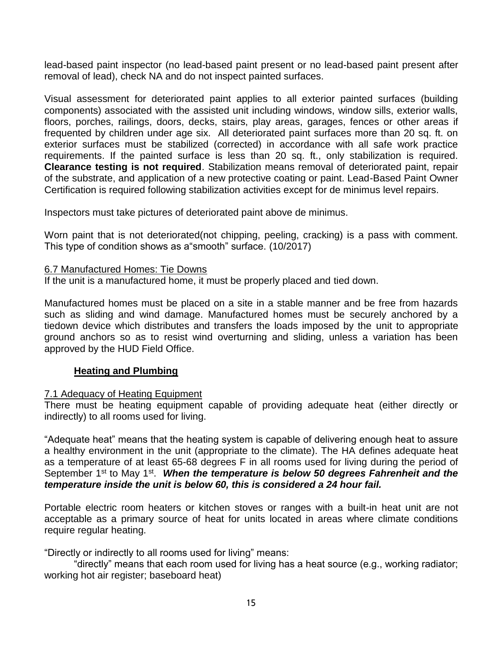lead-based paint inspector (no lead-based paint present or no lead-based paint present after removal of lead), check NA and do not inspect painted surfaces.

Visual assessment for deteriorated paint applies to all exterior painted surfaces (building components) associated with the assisted unit including windows, window sills, exterior walls, floors, porches, railings, doors, decks, stairs, play areas, garages, fences or other areas if frequented by children under age six. All deteriorated paint surfaces more than 20 sq. ft. on exterior surfaces must be stabilized (corrected) in accordance with all safe work practice requirements. If the painted surface is less than 20 sq. ft., only stabilization is required. **Clearance testing is not required**. Stabilization means removal of deteriorated paint, repair of the substrate, and application of a new protective coating or paint. Lead-Based Paint Owner Certification is required following stabilization activities except for de minimus level repairs.

Inspectors must take pictures of deteriorated paint above de minimus.

Worn paint that is not deteriorated(not chipping, peeling, cracking) is a pass with comment. This type of condition shows as a"smooth" surface. (10/2017)

#### 6.7 Manufactured Homes: Tie Downs

If the unit is a manufactured home, it must be properly placed and tied down.

Manufactured homes must be placed on a site in a stable manner and be free from hazards such as sliding and wind damage. Manufactured homes must be securely anchored by a tiedown device which distributes and transfers the loads imposed by the unit to appropriate ground anchors so as to resist wind overturning and sliding, unless a variation has been approved by the HUD Field Office.

# **Heating and Plumbing**

#### 7.1 Adequacy of Heating Equipment

There must be heating equipment capable of providing adequate heat (either directly or indirectly) to all rooms used for living.

"Adequate heat" means that the heating system is capable of delivering enough heat to assure a healthy environment in the unit (appropriate to the climate). The HA defines adequate heat as a temperature of at least 65-68 degrees F in all rooms used for living during the period of September 1<sup>st</sup> to May 1<sup>st</sup>. When the temperature is below 50 degrees Fahrenheit and the *temperature inside the unit is below 60, this is considered a 24 hour fail.* 

Portable electric room heaters or kitchen stoves or ranges with a built-in heat unit are not acceptable as a primary source of heat for units located in areas where climate conditions require regular heating.

"Directly or indirectly to all rooms used for living" means:

"directly" means that each room used for living has a heat source (e.g., working radiator; working hot air register; baseboard heat)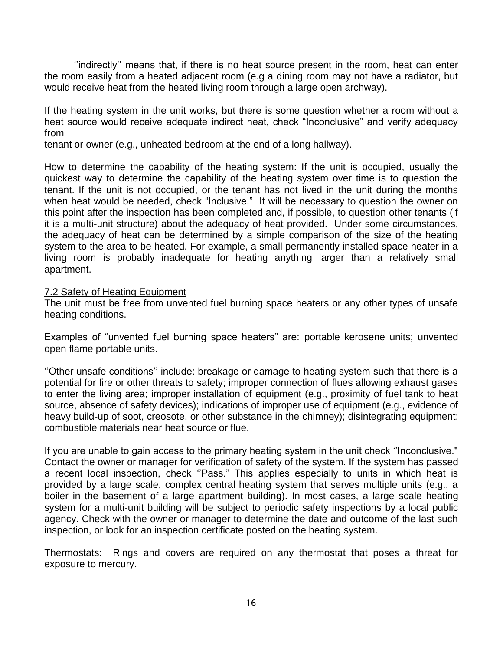''indirectly'' means that, if there is no heat source present in the room, heat can enter the room easily from a heated adjacent room (e.g a dining room may not have a radiator, but would receive heat from the heated living room through a large open archway).

If the heating system in the unit works, but there is some question whether a room without a heat source would receive adequate indirect heat, check "Inconclusive" and verify adequacy from

tenant or owner (e.g., unheated bedroom at the end of a long hallway).

How to determine the capability of the heating system: If the unit is occupied, usually the quickest way to determine the capability of the heating system over time is to question the tenant. If the unit is not occupied, or the tenant has not lived in the unit during the months when heat would be needed, check "Inclusive." It will be necessary to question the owner on this point after the inspection has been completed and, if possible, to question other tenants (if it is a muIti-unit structure) about the adequacy of heat provided. Under some circumstances, the adequacy of heat can be determined by a simple comparison of the size of the heating system to the area to be heated. For example, a small permanently installed space heater in a living room is probably inadequate for heating anything larger than a relatively small apartment.

#### 7.2 Safety of Heating Equipment

The unit must be free from unvented fuel burning space heaters or any other types of unsafe heating conditions.

Examples of "unvented fuel burning space heaters" are: portable kerosene units; unvented open flame portable units.

''Other unsafe conditions'' include: breakage or damage to heating system such that there is a potential for fire or other threats to safety; improper connection of flues allowing exhaust gases to enter the living area; improper installation of equipment (e.g., proximity of fuel tank to heat source, absence of safety devices); indications of improper use of equipment (e.g., evidence of heavy build-up of soot, creosote, or other substance in the chimney); disintegrating equipment; combustible materials near heat source or flue.

If you are unable to gain access to the primary heating system in the unit check ''Inconclusive." Contact the owner or manager for verification of safety of the system. If the system has passed a recent local inspection, check ''Pass." This applies especially to units in which heat is provided by a large scale, complex central heating system that serves multiple units (e.g., a boiler in the basement of a large apartment building). In most cases, a large scale heating system for a multi-unit building will be subject to periodic safety inspections by a local public agency. Check with the owner or manager to determine the date and outcome of the last such inspection, or look for an inspection certificate posted on the heating system.

Thermostats: Rings and covers are required on any thermostat that poses a threat for exposure to mercury.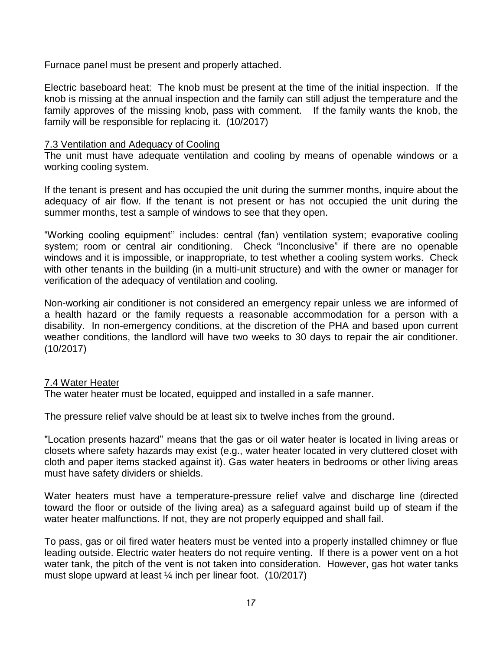Furnace panel must be present and properly attached.

Electric baseboard heat: The knob must be present at the time of the initial inspection. If the knob is missing at the annual inspection and the family can still adjust the temperature and the family approves of the missing knob, pass with comment. If the family wants the knob, the family will be responsible for replacing it. (10/2017)

# 7.3 Ventilation and Adequacy of Cooling

The unit must have adequate ventilation and cooling by means of openable windows or a working cooling system.

If the tenant is present and has occupied the unit during the summer months, inquire about the adequacy of air flow. If the tenant is not present or has not occupied the unit during the summer months, test a sample of windows to see that they open.

"Working cooling equipment'' includes: central (fan) ventilation system; evaporative cooling system; room or central air conditioning. Check "Inconclusive" if there are no openable windows and it is impossible, or inappropriate, to test whether a cooling system works. Check with other tenants in the building (in a multi-unit structure) and with the owner or manager for verification of the adequacy of ventilation and cooling.

Non-working air conditioner is not considered an emergency repair unless we are informed of a health hazard or the family requests a reasonable accommodation for a person with a disability. In non-emergency conditions, at the discretion of the PHA and based upon current weather conditions, the landlord will have two weeks to 30 days to repair the air conditioner. (10/2017)

# 7.4 Water Heater

The water heater must be located, equipped and installed in a safe manner.

The pressure relief valve should be at least six to twelve inches from the ground.

"Location presents hazard'' means that the gas or oil water heater is located in living areas or closets where safety hazards may exist (e.g., water heater located in very cluttered closet with cloth and paper items stacked against it). Gas water heaters in bedrooms or other living areas must have safety dividers or shields.

Water heaters must have a temperature-pressure relief valve and discharge line (directed toward the floor or outside of the living area) as a safeguard against build up of steam if the water heater malfunctions. If not, they are not properly equipped and shall fail.

To pass, gas or oil fired water heaters must be vented into a properly installed chimney or flue leading outside. Electric water heaters do not require venting. If there is a power vent on a hot water tank, the pitch of the vent is not taken into consideration. However, gas hot water tanks must slope upward at least ¼ inch per linear foot. (10/2017)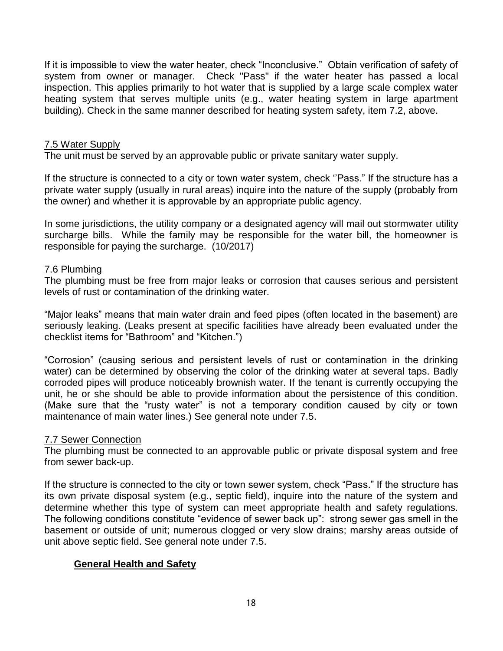If it is impossible to view the water heater, check "Inconclusive." Obtain verification of safety of system from owner or manager. Check "Pass" if the water heater has passed a local inspection. This applies primarily to hot water that is supplied by a large scale complex water heating system that serves multiple units (e.g., water heating system in large apartment building). Check in the same manner described for heating system safety, item 7.2, above.

#### 7.5 Water Supply

The unit must be served by an approvable public or private sanitary water supply.

If the structure is connected to a city or town water system, check ''Pass." If the structure has a private water supply (usually in rural areas) inquire into the nature of the supply (probably from the owner) and whether it is approvable by an appropriate public agency.

In some jurisdictions, the utility company or a designated agency will mail out stormwater utility surcharge bills. While the family may be responsible for the water bill, the homeowner is responsible for paying the surcharge. (10/2017)

## 7.6 Plumbing

The plumbing must be free from major leaks or corrosion that causes serious and persistent levels of rust or contamination of the drinking water.

"Major leaks" means that main water drain and feed pipes (often located in the basement) are seriously leaking. (Leaks present at specific facilities have already been evaluated under the checklist items for "Bathroom" and "Kitchen.")

"Corrosion" (causing serious and persistent levels of rust or contamination in the drinking water) can be determined by observing the color of the drinking water at several taps. Badly corroded pipes will produce noticeably brownish water. If the tenant is currently occupying the unit, he or she should be able to provide information about the persistence of this condition. (Make sure that the "rusty water" is not a temporary condition caused by city or town maintenance of main water lines.) See general note under 7.5.

# 7.7 Sewer Connection

The plumbing must be connected to an approvable public or private disposal system and free from sewer back-up.

If the structure is connected to the city or town sewer system, check "Pass." If the structure has its own private disposal system (e.g., septic field), inquire into the nature of the system and determine whether this type of system can meet appropriate health and safety regulations. The following conditions constitute "evidence of sewer back up": strong sewer gas smell in the basement or outside of unit; numerous clogged or very slow drains; marshy areas outside of unit above septic field. See general note under 7.5.

# **General Health and Safety**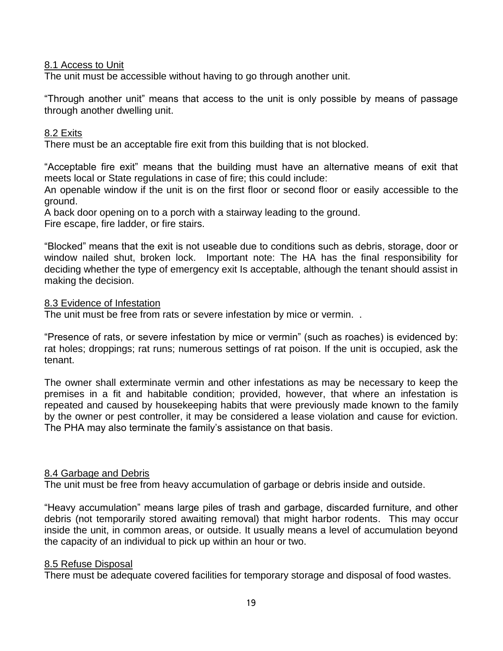## 8.1 Access to Unit

The unit must be accessible without having to go through another unit.

"Through another unit" means that access to the unit is only possible by means of passage through another dwelling unit.

## 8.2 Exits

There must be an acceptable fire exit from this building that is not blocked.

"Acceptable fire exit" means that the building must have an alternative means of exit that meets local or State regulations in case of fire; this could include:

An openable window if the unit is on the first floor or second floor or easily accessible to the ground.

A back door opening on to a porch with a stairway leading to the ground. Fire escape, fire ladder, or fire stairs.

"Blocked" means that the exit is not useable due to conditions such as debris, storage, door or window nailed shut, broken lock. Important note: The HA has the final responsibility for deciding whether the type of emergency exit Is acceptable, although the tenant should assist in making the decision.

#### 8.3 Evidence of Infestation

The unit must be free from rats or severe infestation by mice or vermin. .

"Presence of rats, or severe infestation by mice or vermin" (such as roaches) is evidenced by: rat holes; droppings; rat runs; numerous settings of rat poison. If the unit is occupied, ask the tenant.

The owner shall exterminate vermin and other infestations as may be necessary to keep the premises in a fit and habitable condition; provided, however, that where an infestation is repeated and caused by housekeeping habits that were previously made known to the family by the owner or pest controller, it may be considered a lease violation and cause for eviction. The PHA may also terminate the family's assistance on that basis.

#### 8.4 Garbage and Debris

The unit must be free from heavy accumulation of garbage or debris inside and outside.

"Heavy accumulation" means large piles of trash and garbage, discarded furniture, and other debris (not temporarily stored awaiting removal) that might harbor rodents. This may occur inside the unit, in common areas, or outside. It usually means a level of accumulation beyond the capacity of an individual to pick up within an hour or two.

#### 8.5 Refuse Disposal

There must be adequate covered facilities for temporary storage and disposal of food wastes.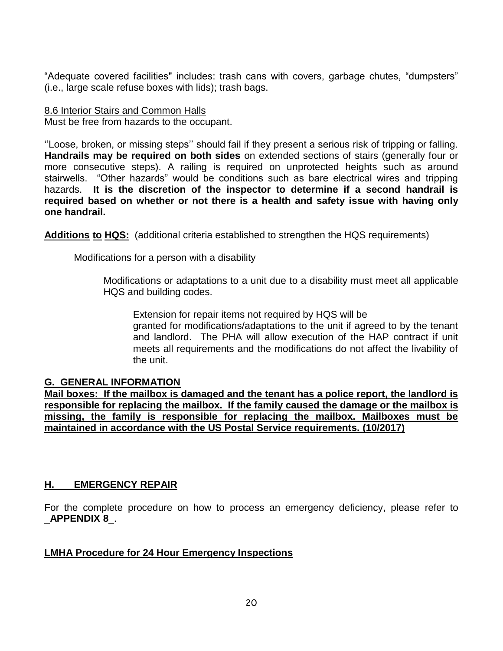"Adequate covered facilities" includes: trash cans with covers, garbage chutes, "dumpsters" (i.e., large scale refuse boxes with lids); trash bags.

# 8.6 Interior Stairs and Common Halls

Must be free from hazards to the occupant.

''Loose, broken, or missing steps'' should fail if they present a serious risk of tripping or falling. **Handrails may be required on both sides** on extended sections of stairs (generally four or more consecutive steps). A railing is required on unprotected heights such as around stairwells. "Other hazards" would be conditions such as bare electrical wires and tripping hazards. **It is the discretion of the inspector to determine if a second handrail is required based on whether or not there is a health and safety issue with having only one handrail.** 

**Additions to HQS:** (additional criteria established to strengthen the HQS requirements)

Modifications for a person with a disability

Modifications or adaptations to a unit due to a disability must meet all applicable HQS and building codes.

Extension for repair items not required by HQS will be granted for modifications/adaptations to the unit if agreed to by the tenant and landlord. The PHA will allow execution of the HAP contract if unit meets all requirements and the modifications do not affect the livability of the unit.

# **G. GENERAL INFORMATION**

**Mail boxes: If the mailbox is damaged and the tenant has a police report, the landlord is responsible for replacing the mailbox. If the family caused the damage or the mailbox is missing, the family is responsible for replacing the mailbox. Mailboxes must be maintained in accordance with the US Postal Service requirements. (10/2017)**

# **H. EMERGENCY REPAIR**

For the complete procedure on how to process an emergency deficiency, please refer to \_**APPENDIX 8**\_.

# **LMHA Procedure for 24 Hour Emergency Inspections**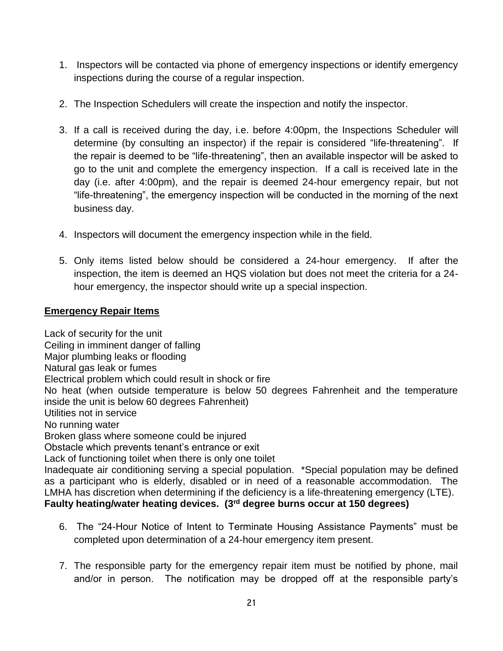- 1. Inspectors will be contacted via phone of emergency inspections or identify emergency inspections during the course of a regular inspection.
- 2. The Inspection Schedulers will create the inspection and notify the inspector.
- 3. If a call is received during the day, i.e. before 4:00pm, the Inspections Scheduler will determine (by consulting an inspector) if the repair is considered "life-threatening". If the repair is deemed to be "life-threatening", then an available inspector will be asked to go to the unit and complete the emergency inspection. If a call is received late in the day (i.e. after 4:00pm), and the repair is deemed 24-hour emergency repair, but not "life-threatening", the emergency inspection will be conducted in the morning of the next business day.
- 4. Inspectors will document the emergency inspection while in the field.
- 5. Only items listed below should be considered a 24-hour emergency. If after the inspection, the item is deemed an HQS violation but does not meet the criteria for a 24 hour emergency, the inspector should write up a special inspection.

# **Emergency Repair Items**

Lack of security for the unit Ceiling in imminent danger of falling Major plumbing leaks or flooding Natural gas leak or fumes Electrical problem which could result in shock or fire No heat (when outside temperature is below 50 degrees Fahrenheit and the temperature inside the unit is below 60 degrees Fahrenheit) Utilities not in service No running water Broken glass where someone could be injured Obstacle which prevents tenant's entrance or exit Lack of functioning toilet when there is only one toilet Inadequate air conditioning serving a special population. \*Special population may be defined as a participant who is elderly, disabled or in need of a reasonable accommodation. The LMHA has discretion when determining if the deficiency is a life-threatening emergency (LTE). **Faulty heating/water heating devices. (3rd degree burns occur at 150 degrees)**

- 6. The "24-Hour Notice of Intent to Terminate Housing Assistance Payments" must be completed upon determination of a 24-hour emergency item present.
- 7. The responsible party for the emergency repair item must be notified by phone, mail and/or in person. The notification may be dropped off at the responsible party's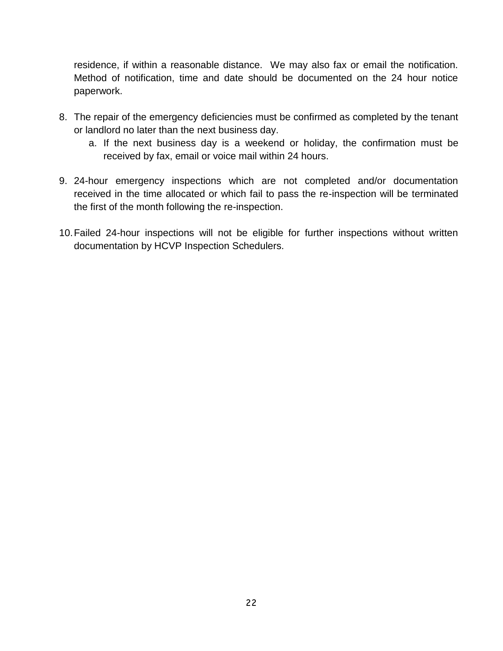residence, if within a reasonable distance. We may also fax or email the notification. Method of notification, time and date should be documented on the 24 hour notice paperwork.

- 8. The repair of the emergency deficiencies must be confirmed as completed by the tenant or landlord no later than the next business day.
	- a. If the next business day is a weekend or holiday, the confirmation must be received by fax, email or voice mail within 24 hours.
- 9. 24-hour emergency inspections which are not completed and/or documentation received in the time allocated or which fail to pass the re-inspection will be terminated the first of the month following the re-inspection.
- 10.Failed 24-hour inspections will not be eligible for further inspections without written documentation by HCVP Inspection Schedulers.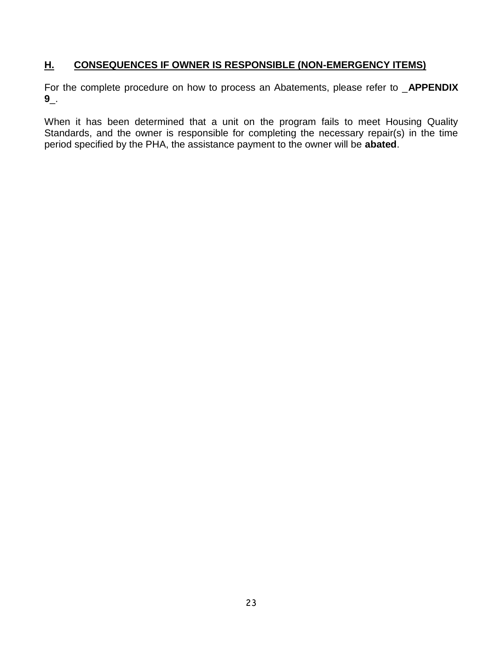# **H. CONSEQUENCES IF OWNER IS RESPONSIBLE (NON-EMERGENCY ITEMS)**

For the complete procedure on how to process an Abatements, please refer to \_**APPENDIX 9**\_.

When it has been determined that a unit on the program fails to meet Housing Quality Standards, and the owner is responsible for completing the necessary repair(s) in the time period specified by the PHA, the assistance payment to the owner will be **abated**.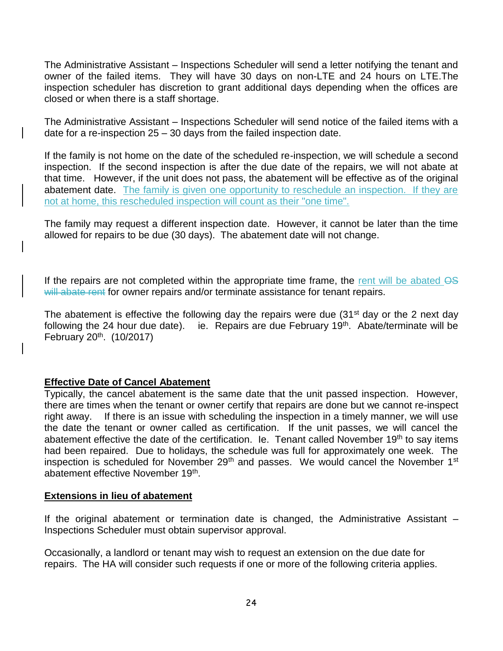The Administrative Assistant – Inspections Scheduler will send a letter notifying the tenant and owner of the failed items. They will have 30 days on non-LTE and 24 hours on LTE.The inspection scheduler has discretion to grant additional days depending when the offices are closed or when there is a staff shortage.

The Administrative Assistant – Inspections Scheduler will send notice of the failed items with a date for a re-inspection 25 – 30 days from the failed inspection date.

If the family is not home on the date of the scheduled re-inspection, we will schedule a second inspection. If the second inspection is after the due date of the repairs, we will not abate at that time. However, if the unit does not pass, the abatement will be effective as of the original abatement date. The family is given one opportunity to reschedule an inspection. If they are not at home, this rescheduled inspection will count as their "one time".

The family may request a different inspection date. However, it cannot be later than the time allowed for repairs to be due (30 days). The abatement date will not change.

If the repairs are not completed within the appropriate time frame, the rent will be abated  $\overline{OS}$ will abate rent for owner repairs and/or terminate assistance for tenant repairs.

The abatement is effective the following day the repairs were due  $(31<sup>st</sup>$  day or the 2 next day following the 24 hour due date). ie. Repairs are due February 19<sup>th</sup>. Abate/terminate will be February 20<sup>th</sup>. (10/2017)

# **Effective Date of Cancel Abatement**

Typically, the cancel abatement is the same date that the unit passed inspection. However, there are times when the tenant or owner certify that repairs are done but we cannot re-inspect right away. If there is an issue with scheduling the inspection in a timely manner, we will use the date the tenant or owner called as certification. If the unit passes, we will cancel the abatement effective the date of the certification. Ie. Tenant called November  $19<sup>th</sup>$  to say items had been repaired. Due to holidays, the schedule was full for approximately one week. The inspection is scheduled for November  $29<sup>th</sup>$  and passes. We would cancel the November 1<sup>st</sup> abatement effective November 19<sup>th</sup>.

#### **Extensions in lieu of abatement**

If the original abatement or termination date is changed, the Administrative Assistant – Inspections Scheduler must obtain supervisor approval.

Occasionally, a landlord or tenant may wish to request an extension on the due date for repairs. The HA will consider such requests if one or more of the following criteria applies.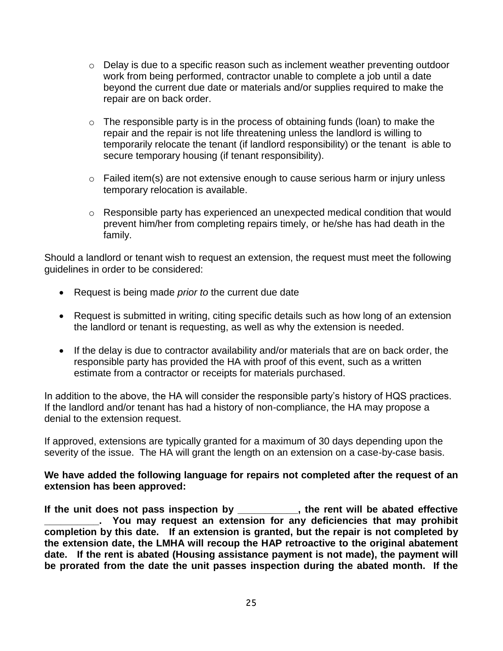- $\circ$  Delay is due to a specific reason such as inclement weather preventing outdoor work from being performed, contractor unable to complete a job until a date beyond the current due date or materials and/or supplies required to make the repair are on back order.
- $\circ$  The responsible party is in the process of obtaining funds (loan) to make the repair and the repair is not life threatening unless the landlord is willing to temporarily relocate the tenant (if landlord responsibility) or the tenant is able to secure temporary housing (if tenant responsibility).
- $\circ$  Failed item(s) are not extensive enough to cause serious harm or injury unless temporary relocation is available.
- o Responsible party has experienced an unexpected medical condition that would prevent him/her from completing repairs timely, or he/she has had death in the family.

Should a landlord or tenant wish to request an extension, the request must meet the following guidelines in order to be considered:

- Request is being made *prior to* the current due date
- Request is submitted in writing, citing specific details such as how long of an extension the landlord or tenant is requesting, as well as why the extension is needed.
- If the delay is due to contractor availability and/or materials that are on back order, the responsible party has provided the HA with proof of this event, such as a written estimate from a contractor or receipts for materials purchased.

In addition to the above, the HA will consider the responsible party's history of HQS practices. If the landlord and/or tenant has had a history of non-compliance, the HA may propose a denial to the extension request.

If approved, extensions are typically granted for a maximum of 30 days depending upon the severity of the issue. The HA will grant the length on an extension on a case-by-case basis.

# **We have added the following language for repairs not completed after the request of an extension has been approved:**

**If the unit does not pass inspection by \_\_\_\_\_\_\_\_\_\_\_, the rent will be abated effective \_\_\_\_\_\_\_\_\_\_. You may request an extension for any deficiencies that may prohibit completion by this date. If an extension is granted, but the repair is not completed by the extension date, the LMHA will recoup the HAP retroactive to the original abatement date. If the rent is abated (Housing assistance payment is not made), the payment will be prorated from the date the unit passes inspection during the abated month. If the**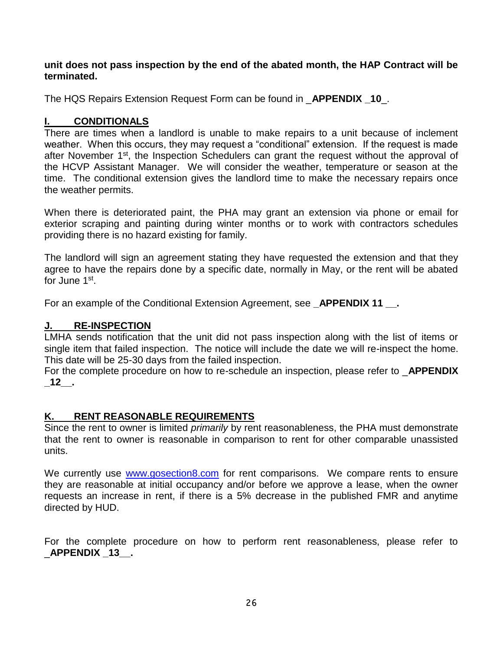**unit does not pass inspection by the end of the abated month, the HAP Contract will be terminated.**

The HQS Repairs Extension Request Form can be found in \_**APPENDIX \_10**\_.

# **I. CONDITIONALS**

There are times when a landlord is unable to make repairs to a unit because of inclement weather. When this occurs, they may request a "conditional" extension. If the request is made after November 1<sup>st</sup>, the Inspection Schedulers can grant the request without the approval of the HCVP Assistant Manager. We will consider the weather, temperature or season at the time. The conditional extension gives the landlord time to make the necessary repairs once the weather permits.

When there is deteriorated paint, the PHA may grant an extension via phone or email for exterior scraping and painting during winter months or to work with contractors schedules providing there is no hazard existing for family.

The landlord will sign an agreement stating they have requested the extension and that they agree to have the repairs done by a specific date, normally in May, or the rent will be abated for June 1st.

For an example of the Conditional Extension Agreement, see **APPENDIX 11** .

# **J. RE-INSPECTION**

LMHA sends notification that the unit did not pass inspection along with the list of items or single item that failed inspection. The notice will include the date we will re-inspect the home. This date will be 25-30 days from the failed inspection.

For the complete procedure on how to re-schedule an inspection, please refer to \_**APPENDIX \_12\_\_.**

# **K. RENT REASONABLE REQUIREMENTS**

Since the rent to owner is limited *primarily* by rent reasonableness, the PHA must demonstrate that the rent to owner is reasonable in comparison to rent for other comparable unassisted units.

We currently use [www.gosection8.com](http://www.gosection8.com/) for rent comparisons. We compare rents to ensure they are reasonable at initial occupancy and/or before we approve a lease, when the owner requests an increase in rent, if there is a 5% decrease in the published FMR and anytime directed by HUD.

For the complete procedure on how to perform rent reasonableness, please refer to \_**APPENDIX \_13\_\_.**